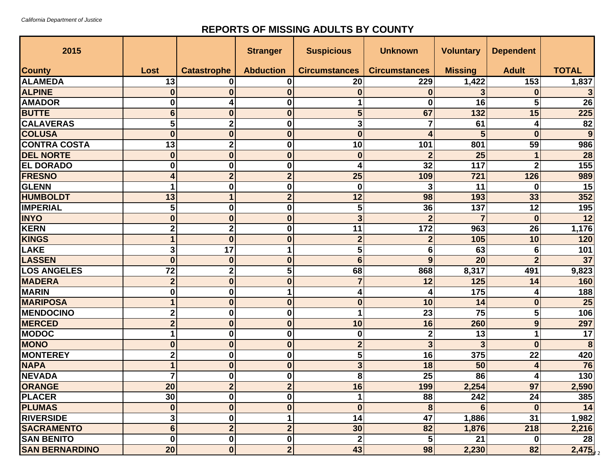## **REPORTS OF MISSING ADULTS BY COUNTY**

| 2015                  |                 |                    | <b>Stranger</b>  | <b>Suspicious</b>    | <b>Unknown</b>       | <b>Voluntary</b> | <b>Dependent</b>        |                 |
|-----------------------|-----------------|--------------------|------------------|----------------------|----------------------|------------------|-------------------------|-----------------|
| <b>County</b>         | Lost            | <b>Catastrophe</b> | <b>Abduction</b> | <b>Circumstances</b> | <b>Circumstances</b> | <b>Missing</b>   | <b>Adult</b>            | <b>TOTAL</b>    |
| <b>ALAMEDA</b>        | 13              | 0                  | 0                | 20                   | 229                  | 1,422            | 153                     | 1,837           |
| <b>ALPINE</b>         | 0               | $\bf{0}$           | 0                |                      | 0                    |                  | 0                       |                 |
| <b>AMADOR</b>         | 0               |                    | 0                |                      | 0                    | 16               | 5                       | 26              |
| <b>BUTTE</b>          | $6\phantom{1}6$ | $\bf{0}$           | $\boldsymbol{0}$ | 5                    | 67                   | 132              | 15                      | 225             |
| <b>CALAVERAS</b>      | 5               | $\mathbf{2}$       | 0                | 3                    |                      | 61               | 4                       | $\overline{82}$ |
| <b>COLUSA</b>         | $\bf{0}$        | $\bf{0}$           | $\boldsymbol{0}$ | $\bf{0}$             | 4                    | 5                | $\bf{0}$                | $\overline{9}$  |
| <b>CONTRA COSTA</b>   | 13              | $\mathbf{2}$       | 0                | 10                   | 101                  | 801              | 59                      | 986             |
| <b>DEL NORTE</b>      | $\bf{0}$        | $\bf{0}$           | $\boldsymbol{0}$ | $\bf{0}$             | $\overline{2}$       | 25               |                         | 28              |
| <b>EL DORADO</b>      | 0               | $\bf{0}$           | 0                |                      | 32                   | 117              | $\overline{2}$          | 155             |
| <b>FRESNO</b>         | 4               | $\overline{2}$     | $\overline{2}$   | 25                   | 109                  | 721              | 126                     | 989             |
| <b>GLENN</b>          |                 | 0                  | 0                | 0                    | 3                    | 11               | 0                       | 15              |
| <b>HUMBOLDT</b>       | 13              |                    | $\overline{2}$   | 12                   | 98                   | 193              | 33                      | 352             |
| <b>IMPERIAL</b>       | 5               | $\bf{0}$           | 0                | 5                    | 36                   | 137              | 12                      | 195             |
| <b>INYO</b>           | $\bf{0}$        | $\bf{0}$           | $\boldsymbol{0}$ | 3                    | $\overline{2}$       |                  | $\boldsymbol{0}$        | 12              |
| <b>KERN</b>           | $\overline{2}$  | $\mathbf{2}$       | $\boldsymbol{0}$ | 11                   | $\overline{172}$     | 963              | 26                      | 1,176           |
| <b>KINGS</b>          |                 | $\bf{0}$           | $\boldsymbol{0}$ | $\overline{2}$       | $\overline{2}$       | 105              | 10                      | 120             |
| <b>LAKE</b>           | 3               | 17                 |                  | 5                    | 6                    | 63               | 6                       | 101             |
| <b>LASSEN</b>         | $\bf{0}$        | $\bf{0}$           | $\boldsymbol{0}$ | $6\phantom{1}$       | 9                    | 20               | $\overline{2}$          | 37              |
| <b>LOS ANGELES</b>    | $\overline{72}$ | $\mathbf{2}$       | 5                | 68                   | 868                  | 8,317            | 491                     | 9,823           |
| <b>MADERA</b>         | $\overline{2}$  | $\bf{0}$           | $\bf{0}$         |                      | 12                   | 125              | 14                      | 160             |
| <b>MARIN</b>          | 0               | $\boldsymbol{0}$   | 1                | 4                    | 4                    | 175              | 4                       | 188             |
| <b>MARIPOSA</b>       |                 | $\bf{0}$           | $\boldsymbol{0}$ | $\bf{0}$             | 10                   | 14               | $\bf{0}$                | 25              |
| <b>MENDOCINO</b>      | $\mathbf{2}$    | $\boldsymbol{0}$   | 0                |                      | 23                   | 75               | 5                       | 106             |
| <b>MERCED</b>         | $\overline{2}$  | $\bf{0}$           | $\boldsymbol{0}$ | 10                   | 16                   | 260              | 9                       | 297             |
| <b>MODOC</b>          | 1               | 0                  | 0                | 0                    | 2                    | 13               | 1                       | 17              |
| <b>MONO</b>           | $\bf{0}$        | $\bf{0}$           | $\boldsymbol{0}$ | $\overline{2}$       | 3                    | 3                | $\bf{0}$                | 8               |
| <b>MONTEREY</b>       | $\mathbf{2}$    | $\boldsymbol{0}$   | $\boldsymbol{0}$ | 5                    | 16                   | 375              | 22                      | 420             |
| <b>NAPA</b>           |                 | $\bf{0}$           | $\bf{0}$         | 3                    | 18                   | 50               | $\overline{\mathbf{4}}$ | 76              |
| <b>NEVADA</b>         | 7               | 0                  | 0                | 8                    | 25                   | 86               | 4                       | 130             |
| <b>ORANGE</b>         | $\overline{20}$ | $\mathbf{2}$       | $\epsilon$       | 16                   | 199                  | 2,254            | 97                      | 2,590           |
| <b>PLACER</b>         | $\overline{30}$ | $\bf{0}$           | $\mathbf 0$      | 1                    | 88                   | 242              | 24                      | 385             |
| <b>PLUMAS</b>         | $\bf{0}$        | $\bf{0}$           | $\boldsymbol{0}$ | $\bf{0}$             | 8                    | 6                | $\boldsymbol{0}$        | 14              |
| <b>RIVERSIDE</b>      | 3               | $\bf{0}$           |                  | 14                   | 47                   | 1,886            | 31                      | 1,982           |
| <b>SACRAMENTO</b>     | $6\phantom{1}6$ | $\overline{2}$     | $\overline{2}$   | 30                   | 82                   | 1,876            | 218                     | 2,216           |
| <b>SAN BENITO</b>     | $\bf{0}$        | $\bf{0}$           | $\bf{0}$         | $\mathbf{2}$         | 5                    | 21               | 0                       | 28              |
| <b>SAN BERNARDINO</b> | 20              | $\mathbf 0$        | $\overline{2}$   | 43                   | 98                   | 2,230            | 82                      | 2,475           |